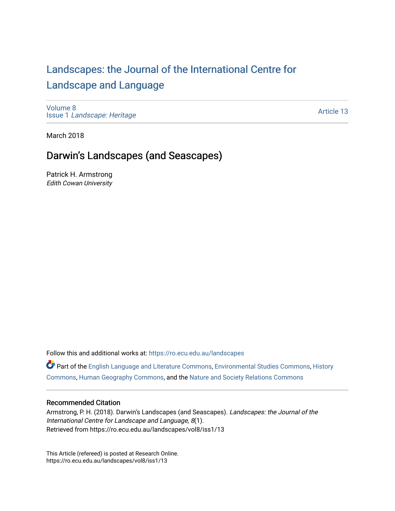# [Landscapes: the Journal of the International Centre for](https://ro.ecu.edu.au/landscapes) [Landscape and Language](https://ro.ecu.edu.au/landscapes)

[Volume 8](https://ro.ecu.edu.au/landscapes/vol8) Issue 1 [Landscape: Heritage](https://ro.ecu.edu.au/landscapes/vol8/iss1)

[Article 13](https://ro.ecu.edu.au/landscapes/vol8/iss1/13) 

March 2018

# Darwin's Landscapes (and Seascapes)

Patrick H. Armstrong Edith Cowan University

Follow this and additional works at: [https://ro.ecu.edu.au/landscapes](https://ro.ecu.edu.au/landscapes?utm_source=ro.ecu.edu.au%2Flandscapes%2Fvol8%2Fiss1%2F13&utm_medium=PDF&utm_campaign=PDFCoverPages) 

Part of the [English Language and Literature Commons](http://network.bepress.com/hgg/discipline/455?utm_source=ro.ecu.edu.au%2Flandscapes%2Fvol8%2Fiss1%2F13&utm_medium=PDF&utm_campaign=PDFCoverPages), [Environmental Studies Commons,](http://network.bepress.com/hgg/discipline/1333?utm_source=ro.ecu.edu.au%2Flandscapes%2Fvol8%2Fiss1%2F13&utm_medium=PDF&utm_campaign=PDFCoverPages) [History](http://network.bepress.com/hgg/discipline/489?utm_source=ro.ecu.edu.au%2Flandscapes%2Fvol8%2Fiss1%2F13&utm_medium=PDF&utm_campaign=PDFCoverPages) [Commons](http://network.bepress.com/hgg/discipline/489?utm_source=ro.ecu.edu.au%2Flandscapes%2Fvol8%2Fiss1%2F13&utm_medium=PDF&utm_campaign=PDFCoverPages), [Human Geography Commons,](http://network.bepress.com/hgg/discipline/356?utm_source=ro.ecu.edu.au%2Flandscapes%2Fvol8%2Fiss1%2F13&utm_medium=PDF&utm_campaign=PDFCoverPages) and the [Nature and Society Relations Commons](http://network.bepress.com/hgg/discipline/357?utm_source=ro.ecu.edu.au%2Flandscapes%2Fvol8%2Fiss1%2F13&utm_medium=PDF&utm_campaign=PDFCoverPages)

#### Recommended Citation

Armstrong, P. H. (2018). Darwin's Landscapes (and Seascapes). Landscapes: the Journal of the International Centre for Landscape and Language, 8(1). Retrieved from https://ro.ecu.edu.au/landscapes/vol8/iss1/13

This Article (refereed) is posted at Research Online. https://ro.ecu.edu.au/landscapes/vol8/iss1/13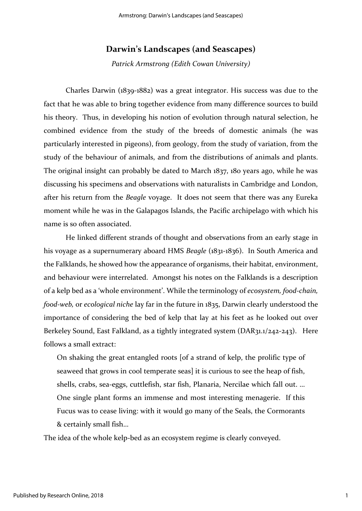## **Darwin's Landscapes (and Seascapes)**

*Patrick Armstrong (Edith Cowan University)*

Charles Darwin (1839-1882) was a great integrator. His success was due to the fact that he was able to bring together evidence from many difference sources to build his theory. Thus, in developing his notion of evolution through natural selection, he combined evidence from the study of the breeds of domestic animals (he was particularly interested in pigeons), from geology, from the study of variation, from the study of the behaviour of animals, and from the distributions of animals and plants. The original insight can probably be dated to March 1837, 180 years ago, while he was discussing his specimens and observations with naturalists in Cambridge and London, after his return from the *Beagle* voyage. It does not seem that there was any Eureka moment while he was in the Galapagos Islands, the Pacific archipelago with which his name is so often associated.

He linked different strands of thought and observations from an early stage in his voyage as a supernumerary aboard HMS *Beagle* (1831-1836). In South America and the Falklands, he showed how the appearance of organisms, their habitat, environment, and behaviour were interrelated. Amongst his notes on the Falklands is a description of a kelp bed as a 'whole environment'. While the terminology of *ecosystem, food-chain, food-web,* or *ecological niche* lay far in the future in 1835, Darwin clearly understood the importance of considering the bed of kelp that lay at his feet as he looked out over Berkeley Sound, East Falkland, as a tightly integrated system (DAR31.1/242-243). Here follows a small extract:

On shaking the great entangled roots [of a strand of kelp, the prolific type of seaweed that grows in cool temperate seas] it is curious to see the heap of fish, shells, crabs, sea-eggs, cuttlefish, star fish, Planaria, Nercilae which fall out. … One single plant forms an immense and most interesting menagerie. If this Fucus was to cease living: with it would go many of the Seals, the Cormorants & certainly small fish…

The idea of the whole kelp-bed as an ecosystem regime is clearly conveyed.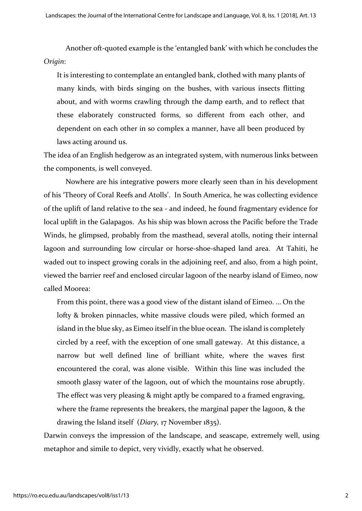Another oft-quoted example is the 'entangled bank' with which he concludes the *Origin*:

It is interesting to contemplate an entangled bank, clothed with many plants of many kinds, with birds singing on the bushes, with various insects flitting about, and with worms crawling through the damp earth, and to reflect that these elaborately constructed forms, so different from each other, and dependent on each other in so complex a manner, have all been produced by laws acting around us.

The idea of an English hedgerow as an integrated system, with numerous links between the components, is well conveyed.

Nowhere are his integrative powers more clearly seen than in his development of his 'Theory of Coral Reefs and Atolls'. In South America, he was collecting evidence of the uplift of land relative to the sea - and indeed, he found fragmentary evidence for local uplift in the Galapagos. As his ship was blown across the Pacific before the Trade Winds, he glimpsed, probably from the masthead, several atolls, noting their internal lagoon and surrounding low circular or horse-shoe-shaped land area. At Tahiti, he waded out to inspect growing corals in the adjoining reef, and also, from a high point, viewed the barrier reef and enclosed circular lagoon of the nearby island of Eimeo, now called Moorea:

From this point, there was a good view of the distant island of Eimeo. … On the lofty & broken pinnacles, white massive clouds were piled, which formed an island in the blue sky, as Eimeo itself in the blue ocean. The island is completely circled by a reef, with the exception of one small gateway. At this distance, a narrow but well defined line of brilliant white, where the waves first encountered the coral, was alone visible. Within this line was included the smooth glassy water of the lagoon, out of which the mountains rose abruptly. The effect was very pleasing & might aptly be compared to a framed engraving, where the frame represents the breakers, the marginal paper the lagoon, & the drawing the Island itself (*Diary,* 17 November 1835).

Darwin conveys the impression of the landscape, and seascape, extremely well, using metaphor and simile to depict, very vividly, exactly what he observed.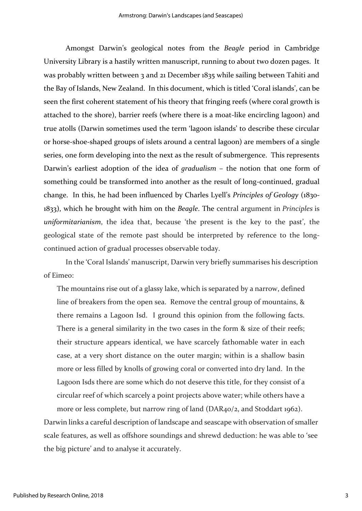Amongst Darwin's geological notes from the *Beagle* period in Cambridge University Library is a hastily written manuscript, running to about two dozen pages. It was probably written between 3 and 21 December 1835 while sailing between Tahiti and the Bay of Islands, New Zealand. In this document, which is titled 'Coral islands', can be seen the first coherent statement of his theory that fringing reefs (where coral growth is attached to the shore), barrier reefs (where there is a moat-like encircling lagoon) and true atolls (Darwin sometimes used the term 'lagoon islands' to describe these circular or horse-shoe-shaped groups of islets around a central lagoon) are members of a single series, one form developing into the next as the result of submergence. This represents Darwin's earliest adoption of the idea of *gradualism* – the notion that one form of something could be transformed into another as the result of long-continued, gradual change. In this, he had been influenced by Charles Lyell's *Principles of Geology* (1830- 1833), which he brought with him on the *Beagle*. The central argument in *Principles* is *uniformitarianism*, the idea that, because 'the present is the key to the past', the geological state of the remote past should be interpreted by reference to the longcontinued action of gradual processes observable today.

In the 'Coral Islands' manuscript, Darwin very briefly summarises his description of Eimeo:

The mountains rise out of a glassy lake, which is separated by a narrow, defined line of breakers from the open sea. Remove the central group of mountains, & there remains a Lagoon Isd. I ground this opinion from the following facts. There is a general similarity in the two cases in the form & size of their reefs; their structure appears identical, we have scarcely fathomable water in each case, at a very short distance on the outer margin; within is a shallow basin more or less filled by knolls of growing coral or converted into dry land. In the Lagoon Isds there are some which do not deserve this title, for they consist of a circular reef of which scarcely a point projects above water; while others have a more or less complete, but narrow ring of land (DAR40/2, and Stoddart 1962).

Darwin links a careful description of landscape and seascape with observation of smaller scale features, as well as offshore soundings and shrewd deduction: he was able to 'see the big picture' and to analyse it accurately.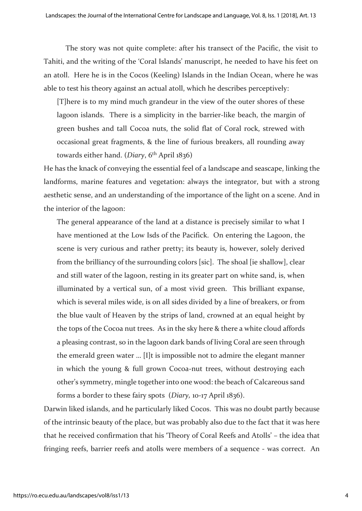The story was not quite complete: after his transect of the Pacific, the visit to Tahiti, and the writing of the 'Coral Islands' manuscript, he needed to have his feet on an atoll. Here he is in the Cocos (Keeling) Islands in the Indian Ocean, where he was able to test his theory against an actual atoll, which he describes perceptively:

[T]here is to my mind much grandeur in the view of the outer shores of these lagoon islands. There is a simplicity in the barrier-like beach, the margin of green bushes and tall Cocoa nuts, the solid flat of Coral rock, strewed with occasional great fragments, & the line of furious breakers, all rounding away towards either hand. (*Diary*, 6th April 1836)

He has the knack of conveying the essential feel of a landscape and seascape, linking the landforms, marine features and vegetation: always the integrator, but with a strong aesthetic sense, and an understanding of the importance of the light on a scene. And in the interior of the lagoon:

The general appearance of the land at a distance is precisely similar to what I have mentioned at the Low Isds of the Pacifick. On entering the Lagoon, the scene is very curious and rather pretty; its beauty is, however, solely derived from the brilliancy of the surrounding colors [sic]. The shoal [ie shallow], clear and still water of the lagoon, resting in its greater part on white sand, is, when illuminated by a vertical sun, of a most vivid green. This brilliant expanse, which is several miles wide, is on all sides divided by a line of breakers, or from the blue vault of Heaven by the strips of land, crowned at an equal height by the tops of the Cocoa nut trees. As in the sky here & there a white cloud affords a pleasing contrast, so in the lagoon dark bands of living Coral are seen through the emerald green water … [I]t is impossible not to admire the elegant manner in which the young & full grown Cocoa-nut trees, without destroying each other's symmetry, mingle together into one wood: the beach of Calcareous sand forms a border to these fairy spots (*Diary,* 10-17 April 1836).

Darwin liked islands, and he particularly liked Cocos. This was no doubt partly because of the intrinsic beauty of the place, but was probably also due to the fact that it was here that he received confirmation that his 'Theory of Coral Reefs and Atolls' – the idea that fringing reefs, barrier reefs and atolls were members of a sequence - was correct. An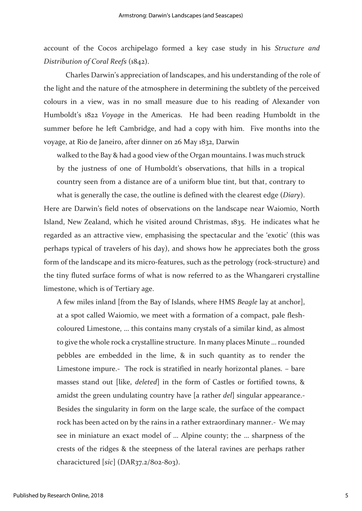account of the Cocos archipelago formed a key case study in his *Structure and Distribution of Coral Reefs* (1842).

Charles Darwin's appreciation of landscapes, and his understanding of the role of the light and the nature of the atmosphere in determining the subtlety of the perceived colours in a view, was in no small measure due to his reading of Alexander von Humboldt's 1822 *Voyage* in the Americas. He had been reading Humboldt in the summer before he left Cambridge, and had a copy with him. Five months into the voyage, at Rio de Janeiro, after dinner on 26 May 1832, Darwin

walked to the Bay & had a good view of the Organ mountains. I was much struck by the justness of one of Humboldt's observations, that hills in a tropical country seen from a distance are of a uniform blue tint, but that, contrary to what is generally the case, the outline is defined with the clearest edge (*Diary*).

Here are Darwin's field notes of observations on the landscape near Waiomio, North Island, New Zealand, which he visited around Christmas, 1835. He indicates what he regarded as an attractive view, emphasising the spectacular and the 'exotic' (this was perhaps typical of travelers of his day), and shows how he appreciates both the gross form of the landscape and its micro-features, such as the petrology (rock-structure) and the tiny fluted surface forms of what is now referred to as the Whangareri crystalline limestone, which is of Tertiary age.

A few miles inland [from the Bay of Islands, where HMS *Beagle* lay at anchor], at a spot called Waiomio, we meet with a formation of a compact, pale fleshcoloured Limestone, … this contains many crystals of a similar kind, as almost to give the whole rock a crystalline structure. In many places Minute … rounded pebbles are embedded in the lime, & in such quantity as to render the Limestone impure.- The rock is stratified in nearly horizontal planes. – bare masses stand out [like, *deleted*] in the form of Castles or fortified towns, & amidst the green undulating country have [a rather *del*] singular appearance.- Besides the singularity in form on the large scale, the surface of the compact rock has been acted on by the rains in a rather extraordinary manner.- We may see in miniature an exact model of … Alpine county; the … sharpness of the crests of the ridges & the steepness of the lateral ravines are perhaps rather characictured [*sic*] (DAR37.2/802-803).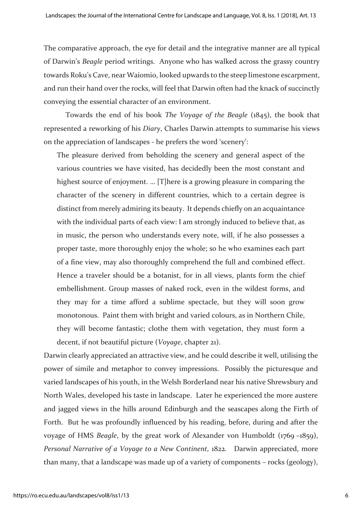The comparative approach, the eye for detail and the integrative manner are all typical of Darwin's *Beagle* period writings. Anyone who has walked across the grassy country towards Roku's Cave, near Waiomio, looked upwards to the steep limestone escarpment, and run their hand over the rocks, will feel that Darwin often had the knack of succinctly conveying the essential character of an environment.

Towards the end of his book *The Voyage of the Beagle* (1845), the book that represented a reworking of his *Diary*, Charles Darwin attempts to summarise his views on the appreciation of landscapes - he prefers the word 'scenery':

The pleasure derived from beholding the scenery and general aspect of the various countries we have visited, has decidedly been the most constant and highest source of enjoyment. … [T]here is a growing pleasure in comparing the character of the scenery in different countries, which to a certain degree is distinct from merely admiring its beauty. It depends chiefly on an acquaintance with the individual parts of each view: I am strongly induced to believe that, as in music, the person who understands every note, will, if he also possesses a proper taste, more thoroughly enjoy the whole; so he who examines each part of a fine view, may also thoroughly comprehend the full and combined effect. Hence a traveler should be a botanist, for in all views, plants form the chief embellishment. Group masses of naked rock, even in the wildest forms, and they may for a time afford a sublime spectacle, but they will soon grow monotonous. Paint them with bright and varied colours, as in Northern Chile, they will become fantastic; clothe them with vegetation, they must form a decent, if not beautiful picture (*Voyage*, chapter 21).

Darwin clearly appreciated an attractive view, and he could describe it well, utilising the power of simile and metaphor to convey impressions. Possibly the picturesque and varied landscapes of his youth, in the Welsh Borderland near his native Shrewsbury and North Wales, developed his taste in landscape. Later he experienced the more austere and jagged views in the hills around Edinburgh and the seascapes along the Firth of Forth. But he was profoundly influenced by his reading, before, during and after the voyage of HMS *Beagle*, by the great work of Alexander von Humboldt (1769 –1859), *Personal Narrative of a Voyage to a New Continent,* 1822*.* Darwin appreciated, more than many, that a landscape was made up of a variety of components – rocks (geology),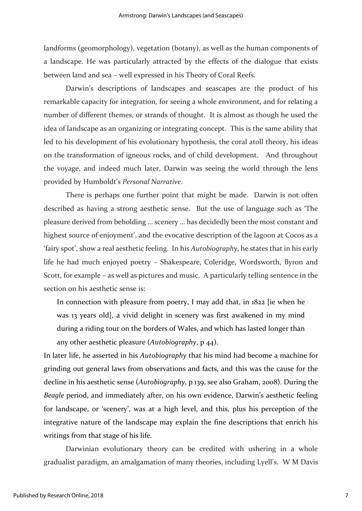landforms (geomorphology), vegetation (botany), as well as the human components of a landscape. He was particularly attracted by the effects of the dialogue that exists between land and sea – well expressed in his Theory of Coral Reefs.

Darwin's descriptions of landscapes and seascapes are the product of his remarkable capacity for integration, for seeing a whole environment, and for relating a number of different themes, or strands of thought. It is almost as though he used the idea of landscape as an organizing or integrating concept. This is the same ability that led to his development of his evolutionary hypothesis, the coral atoll theory, his ideas on the transformation of igneous rocks, and of child development. And throughout the voyage, and indeed much later, Darwin was seeing the world through the lens provided by Humboldt's *Personal Narrative*.

There is perhaps one further point that might be made. Darwin is not often described as having a strong aesthetic sense. But the use of language such as 'The pleasure derived from beholding … scenery … has decidedly been the most constant and highest source of enjoyment', and the evocative description of the lagoon at Cocos as a 'fairy spot', show a real aesthetic feeling. In his *Autobiography*, he states that in his early life he had much enjoyed poetry – Shakespeare, Coleridge, Wordsworth, Byron and Scott, for example – as well as pictures and music. A particularly telling sentence in the section on his aesthetic sense is:

In connection with pleasure from poetry, I may add that, in 1822 [ie when he was 13 years old], a vivid delight in scenery was first awakened in my mind during a riding tour on the borders of Wales, and which has lasted longer than any other aesthetic pleasure (*Autobiography*, p 44).

In later life, he asserted in his *Autobiography* that his mind had become a machine for grinding out general laws from observations and facts, and this was the cause for the decline in his aesthetic sense (*Autobiography*, p 139, see also Graham, 2008). During the *Beagle* period, and immediately after, on his own evidence, Darwin's aesthetic feeling for landscape, or 'scenery', was at a high level, and this, plus his perception of the integrative nature of the landscape may explain the fine descriptions that enrich his writings from that stage of his life.

Darwinian evolutionary theory can be credited with ushering in a whole gradualist paradigm, an amalgamation of many theories, including Lyell's. W M Davis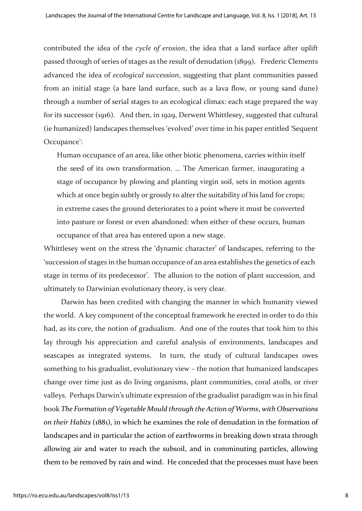contributed the idea of the *cycle of erosion*, the idea that a land surface after uplift passed through of series of stages as the result of denudation (1899). Frederic Clements advanced the idea of *ecological succession*, suggesting that plant communities passed from an initial stage (a bare land surface, such as a lava flow, or young sand dune) through a number of serial stages to an ecological climax: each stage prepared the way for its successor (1916). And then, in 1929, Derwent Whittlesey, suggested that cultural (ie humanized) landscapes themselves 'evolved' over time in his paper entitled 'Sequent Occupance':

Human occupance of an area, like other biotic phenomena, carries within itself the seed of its own transformation. … The American farmer, inaugurating a stage of occupance by plowing and planting virgin soil, sets in motion agents which at once begin subtly or grossly to alter the suitability of his land for crops; in extreme cases the ground deteriorates to a point where it must be converted into pasture or forest or even abandoned: when either of these occurs, human occupance of that area has entered upon a new stage.

Whittlesey went on the stress the 'dynamic character' of landscapes, referring to the 'succession of stages in the human occupance of an area establishes the genetics of each stage in terms of its predecessor'. The allusion to the notion of plant succession, and ultimately to Darwinian evolutionary theory, is very clear.

Darwin has been credited with changing the manner in which humanity viewed the world. A key component of the conceptual framework he erected in order to do this had, as its core, the notion of gradualism. And one of the routes that took him to this lay through his appreciation and careful analysis of environments, landscapes and seascapes as integrated systems. In turn, the study of cultural landscapes owes something to his gradualist, evolutionary view – the notion that humanized landscapes change over time just as do living organisms, plant communities, coral atolls, or river valleys. Perhaps Darwin's ultimate expression of the gradualist paradigm was in his final book *The Formation of Vegetable Mould through the Action of Worms*, *with Observations on their Habits* (1881), in which he examines the role of denudation in the formation of landscapes and in particular the action of earthworms in breaking down strata through allowing air and water to reach the subsoil, and in comminuting particles, allowing them to be removed by rain and wind. He conceded that the processes must have been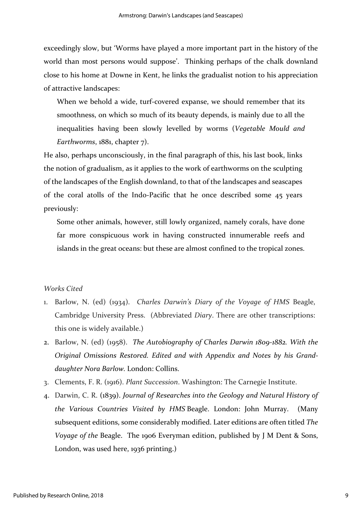exceedingly slow, but 'Worms have played a more important part in the history of the world than most persons would suppose'. Thinking perhaps of the chalk downland close to his home at Downe in Kent, he links the gradualist notion to his appreciation of attractive landscapes:

When we behold a wide, turf-covered expanse, we should remember that its smoothness, on which so much of its beauty depends, is mainly due to all the inequalities having been slowly levelled by worms (*Vegetable Mould and Earthworms*, 1881, chapter 7).

He also, perhaps unconsciously, in the final paragraph of this, his last book, links the notion of gradualism, as it applies to the work of earthworms on the sculpting of the landscapes of the English downland, to that of the landscapes and seascapes of the coral atolls of the Indo-Pacific that he once described some 45 years previously:

Some other animals, however, still lowly organized, namely corals, have done far more conspicuous work in having constructed innumerable reefs and islands in the great oceans: but these are almost confined to the tropical zones.

### *Works Cited*

- 1. Barlow, N. (ed) (1934). *Charles Darwin's Diary of the Voyage of HMS* Beagle, Cambridge University Press. (Abbreviated *Diary*. There are other transcriptions: this one is widely available.)
- 2. Barlow, N. (ed) (1958). *The Autobiography of Charles Darwin 1809-1882. With the Original Omissions Restored. Edited and with Appendix and Notes by his Granddaughter Nora Barlow.* London: Collins.
- 3. Clements, F. R. (1916). *Plant Succession*. Washington: The Carnegie Institute.
- 4. Darwin, C. R. (1839). *Journal of Researches into the Geology and Natural History of the Various Countries Visited by HMS* Beagle. London: John Murray. (Many subsequent editions, some considerably modified. Later editions are often titled *The Voyage of the* Beagle. The 1906 Everyman edition, published by J M Dent & Sons, London, was used here, 1936 printing.)